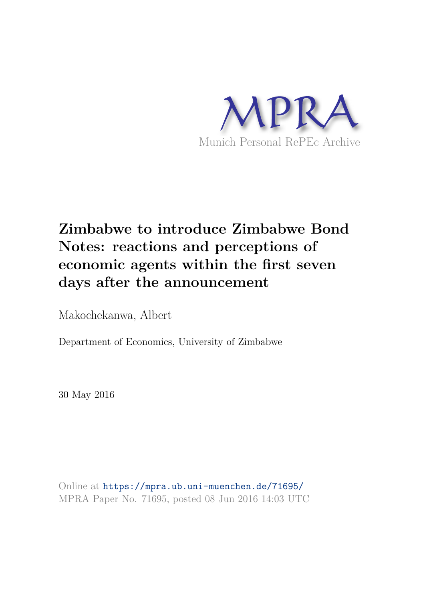

# **Zimbabwe to introduce Zimbabwe Bond Notes: reactions and perceptions of economic agents within the first seven days after the announcement**

Makochekanwa, Albert

Department of Economics, University of Zimbabwe

30 May 2016

Online at https://mpra.ub.uni-muenchen.de/71695/ MPRA Paper No. 71695, posted 08 Jun 2016 14:03 UTC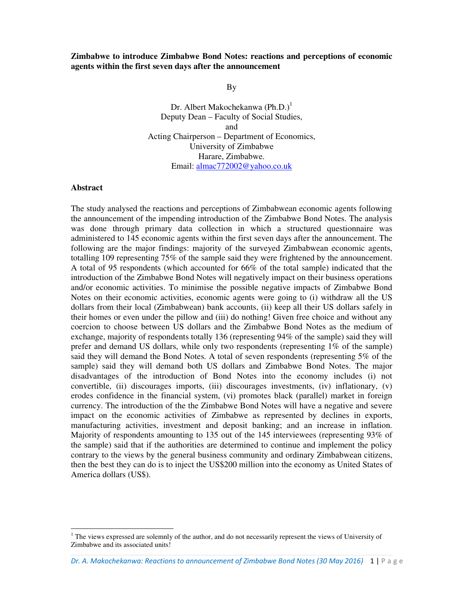#### **Zimbabwe to introduce Zimbabwe Bond Notes: reactions and perceptions of economic agents within the first seven days after the announcement**

By

Dr. Albert Makochekanwa  $(Ph.D.)<sup>1</sup>$ Deputy Dean – Faculty of Social Studies, and Acting Chairperson – Department of Economics, University of Zimbabwe Harare, Zimbabwe. Email: almac772002@yahoo.co.uk

#### **Abstract**

1

The study analysed the reactions and perceptions of Zimbabwean economic agents following the announcement of the impending introduction of the Zimbabwe Bond Notes. The analysis was done through primary data collection in which a structured questionnaire was administered to 145 economic agents within the first seven days after the announcement. The following are the major findings: majority of the surveyed Zimbabwean economic agents, totalling 109 representing 75% of the sample said they were frightened by the announcement. A total of 95 respondents (which accounted for 66% of the total sample) indicated that the introduction of the Zimbabwe Bond Notes will negatively impact on their business operations and/or economic activities. To minimise the possible negative impacts of Zimbabwe Bond Notes on their economic activities, economic agents were going to (i) withdraw all the US dollars from their local (Zimbabwean) bank accounts, (ii) keep all their US dollars safely in their homes or even under the pillow and (iii) do nothing! Given free choice and without any coercion to choose between US dollars and the Zimbabwe Bond Notes as the medium of exchange, majority of respondents totally 136 (representing 94% of the sample) said they will prefer and demand US dollars, while only two respondents (representing 1% of the sample) said they will demand the Bond Notes. A total of seven respondents (representing 5% of the sample) said they will demand both US dollars and Zimbabwe Bond Notes. The major disadvantages of the introduction of Bond Notes into the economy includes (i) not convertible, (ii) discourages imports, (iii) discourages investments, (iv) inflationary,  $(v)$ erodes confidence in the financial system, (vi) promotes black (parallel) market in foreign currency. The introduction of the the Zimbabwe Bond Notes will have a negative and severe impact on the economic activities of Zimbabwe as represented by declines in exports, manufacturing activities, investment and deposit banking; and an increase in inflation. Majority of respondents amounting to 135 out of the 145 interviewees (representing 93% of the sample) said that if the authorities are determined to continue and implement the policy contrary to the views by the general business community and ordinary Zimbabwean citizens, then the best they can do is to inject the US\$200 million into the economy as United States of America dollars (US\$).

<sup>&</sup>lt;sup>1</sup> The views expressed are solemnly of the author, and do not necessarily represent the views of University of Zimbabwe and its associated units!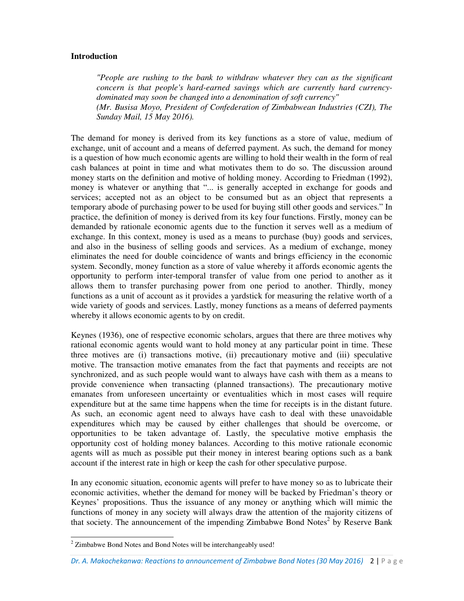#### **Introduction**

*"People are rushing to the bank to withdraw whatever they can as the significant concern is that people's hard-earned savings which are currently hard currencydominated may soon be changed into a denomination of soft currency" (Mr. Busisa Moyo, President of Confederation of Zimbabwean Industries (CZI), The Sunday Mail, 15 May 2016).* 

The demand for money is derived from its key functions as a store of value, medium of exchange, unit of account and a means of deferred payment. As such, the demand for money is a question of how much economic agents are willing to hold their wealth in the form of real cash balances at point in time and what motivates them to do so. The discussion around money starts on the definition and motive of holding money. According to Friedman (1992), money is whatever or anything that "... is generally accepted in exchange for goods and services; accepted not as an object to be consumed but as an object that represents a temporary abode of purchasing power to be used for buying still other goods and services." In practice, the definition of money is derived from its key four functions. Firstly, money can be demanded by rationale economic agents due to the function it serves well as a medium of exchange. In this context, money is used as a means to purchase (buy) goods and services, and also in the business of selling goods and services. As a medium of exchange, money eliminates the need for double coincidence of wants and brings efficiency in the economic system. Secondly, money function as a store of value whereby it affords economic agents the opportunity to perform inter-temporal transfer of value from one period to another as it allows them to transfer purchasing power from one period to another. Thirdly, money functions as a unit of account as it provides a yardstick for measuring the relative worth of a wide variety of goods and services. Lastly, money functions as a means of deferred payments whereby it allows economic agents to by on credit.

Keynes (1936), one of respective economic scholars, argues that there are three motives why rational economic agents would want to hold money at any particular point in time. These three motives are (i) transactions motive, (ii) precautionary motive and (iii) speculative motive. The transaction motive emanates from the fact that payments and receipts are not synchronized, and as such people would want to always have cash with them as a means to provide convenience when transacting (planned transactions). The precautionary motive emanates from unforeseen uncertainty or eventualities which in most cases will require expenditure but at the same time happens when the time for receipts is in the distant future. As such, an economic agent need to always have cash to deal with these unavoidable expenditures which may be caused by either challenges that should be overcome, or opportunities to be taken advantage of. Lastly, the speculative motive emphasis the opportunity cost of holding money balances. According to this motive rationale economic agents will as much as possible put their money in interest bearing options such as a bank account if the interest rate in high or keep the cash for other speculative purpose.

In any economic situation, economic agents will prefer to have money so as to lubricate their economic activities, whether the demand for money will be backed by Friedman's theory or Keynes' propositions. Thus the issuance of any money or anything which will mimic the functions of money in any society will always draw the attention of the majority citizens of that society. The announcement of the impending Zimbabwe Bond Notes<sup>2</sup> by Reserve Bank

1

 $2$  Zimbabwe Bond Notes and Bond Notes will be interchangeably used!

*Dr. A. Makochekanwa: Reactions to announcement of Zimbabwe Bond Notes (30 May 2016)* 2 | P a g e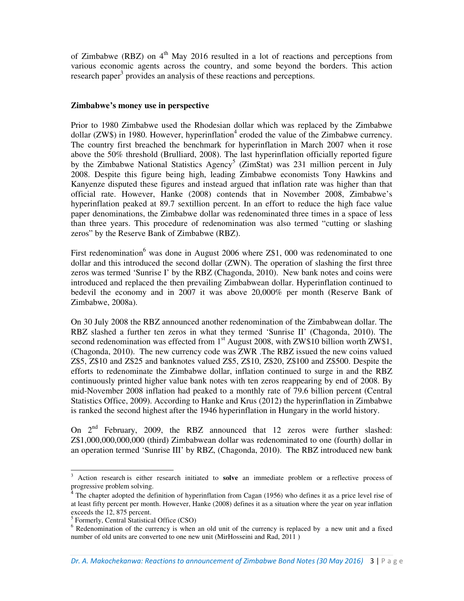of Zimbabwe (RBZ) on  $4<sup>th</sup>$  May 2016 resulted in a lot of reactions and perceptions from various economic agents across the country, and some beyond the borders. This action research paper<sup>3</sup> provides an analysis of these reactions and perceptions.

#### **Zimbabwe's money use in perspective**

Prior to 1980 Zimbabwe used the Rhodesian dollar which was replaced by the Zimbabwe dollar (ZW\$) in 1980. However, hyperinflation<sup>4</sup> eroded the value of the Zimbabwe currency. The country first breached the benchmark for hyperinflation in March 2007 when it rose above the 50% threshold (Brulliard, 2008). The last hyperinflation officially reported figure by the Zimbabwe National Statistics Agency<sup>5</sup> (ZimStat) was 231 million percent in July 2008. Despite this figure being high, leading Zimbabwe economists Tony Hawkins and Kanyenze disputed these figures and instead argued that inflation rate was higher than that official rate. However, Hanke (2008) contends that in November 2008, Zimbabwe's hyperinflation peaked at 89.7 sextillion percent. In an effort to reduce the high face value paper denominations, the Zimbabwe dollar was redenominated three times in a space of less than three years. This procedure of redenomination was also termed "cutting or slashing zeros" by the Reserve Bank of Zimbabwe (RBZ).

First redenomination<sup>6</sup> was done in August 2006 where  $Z$1,000$  was redenominated to one dollar and this introduced the second dollar (ZWN). The operation of slashing the first three zeros was termed 'Sunrise I' by the RBZ (Chagonda, 2010). New bank notes and coins were introduced and replaced the then prevailing Zimbabwean dollar. Hyperinflation continued to bedevil the economy and in 2007 it was above 20,000% per month (Reserve Bank of Zimbabwe, 2008a).

On 30 July 2008 the RBZ announced another redenomination of the Zimbabwean dollar. The RBZ slashed a further ten zeros in what they termed 'Sunrise II' (Chagonda, 2010). The second redenomination was effected from  $1<sup>st</sup>$  August 2008, with ZW\$10 billion worth ZW\$1, (Chagonda, 2010). The new currency code was ZWR .The RBZ issued the new coins valued Z\$5, Z\$10 and Z\$25 and banknotes valued Z\$5, Z\$10, Z\$20, Z\$100 and Z\$500. Despite the efforts to redenominate the Zimbabwe dollar, inflation continued to surge in and the RBZ continuously printed higher value bank notes with ten zeros reappearing by end of 2008. By mid-November 2008 inflation had peaked to a monthly rate of 79.6 billion percent (Central Statistics Office, 2009). According to Hanke and Krus (2012) the hyperinflation in Zimbabwe is ranked the second highest after the 1946 hyperinflation in Hungary in the world history.

On  $2^{nd}$  February, 2009, the RBZ announced that 12 zeros were further slashed: Z\$1,000,000,000,000 (third) Zimbabwean dollar was redenominated to one (fourth) dollar in an operation termed 'Sunrise III' by RBZ, (Chagonda, 2010). The RBZ introduced new bank

l,

<sup>3</sup> Action research is either research initiated to **solve** an immediate problem or a reflective process of progressive problem solving.

<sup>4</sup> The chapter adopted the definition of hyperinflation from Cagan (1956) who defines it as a price level rise of at least fifty percent per month. However, Hanke (2008) defines it as a situation where the year on year inflation exceeds the 12, 875 percent.

<sup>5</sup> Formerly, Central Statistical Office (CSO)

<sup>&</sup>lt;sup>6</sup> Redenomination of the currency is when an old unit of the currency is replaced by a new unit and a fixed number of old units are converted to one new unit (MirHosseini and Rad, 2011 )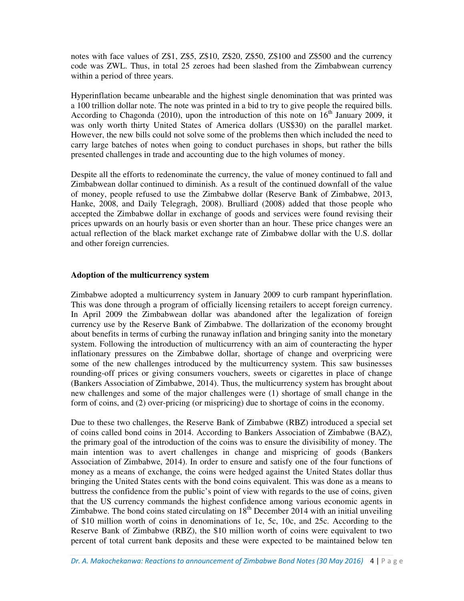notes with face values of Z\$1, Z\$5, Z\$10, Z\$20, Z\$50, Z\$100 and Z\$500 and the currency code was ZWL. Thus, in total 25 zeroes had been slashed from the Zimbabwean currency within a period of three years.

Hyperinflation became unbearable and the highest single denomination that was printed was a 100 trillion dollar note. The note was printed in a bid to try to give people the required bills. According to Chagonda (2010), upon the introduction of this note on  $16<sup>th</sup>$  January 2009, it was only worth thirty United States of America dollars (US\$30) on the parallel market. However, the new bills could not solve some of the problems then which included the need to carry large batches of notes when going to conduct purchases in shops, but rather the bills presented challenges in trade and accounting due to the high volumes of money.

Despite all the efforts to redenominate the currency, the value of money continued to fall and Zimbabwean dollar continued to diminish. As a result of the continued downfall of the value of money, people refused to use the Zimbabwe dollar (Reserve Bank of Zimbabwe, 2013, Hanke, 2008, and Daily Telegragh, 2008). Brulliard (2008) added that those people who accepted the Zimbabwe dollar in exchange of goods and services were found revising their prices upwards on an hourly basis or even shorter than an hour. These price changes were an actual reflection of the black market exchange rate of Zimbabwe dollar with the U.S. dollar and other foreign currencies.

#### **Adoption of the multicurrency system**

Zimbabwe adopted a multicurrency system in January 2009 to curb rampant hyperinflation. This was done through a program of officially licensing retailers to accept foreign currency. In April 2009 the Zimbabwean dollar was abandoned after the legalization of foreign currency use by the Reserve Bank of Zimbabwe. The dollarization of the economy brought about benefits in terms of curbing the runaway inflation and bringing sanity into the monetary system. Following the introduction of multicurrency with an aim of counteracting the hyper inflationary pressures on the Zimbabwe dollar, shortage of change and overpricing were some of the new challenges introduced by the multicurrency system. This saw businesses rounding-off prices or giving consumers vouchers, sweets or cigarettes in place of change (Bankers Association of Zimbabwe, 2014). Thus, the multicurrency system has brought about new challenges and some of the major challenges were (1) shortage of small change in the form of coins, and (2) over-pricing (or mispricing) due to shortage of coins in the economy.

Due to these two challenges, the Reserve Bank of Zimbabwe (RBZ) introduced a special set of coins called bond coins in 2014. According to Bankers Association of Zimbabwe (BAZ), the primary goal of the introduction of the coins was to ensure the divisibility of money. The main intention was to avert challenges in change and mispricing of goods (Bankers Association of Zimbabwe, 2014). In order to ensure and satisfy one of the four functions of money as a means of exchange, the coins were hedged against the United States dollar thus bringing the United States cents with the bond coins equivalent. This was done as a means to buttress the confidence from the public's point of view with regards to the use of coins, given that the US currency commands the highest confidence among various economic agents in Zimbabwe. The bond coins stated circulating on  $18<sup>th</sup>$  December 2014 with an initial unveiling of \$10 million worth of coins in denominations of 1c, 5c, 10c, and 25c. According to the Reserve Bank of Zimbabwe (RBZ), the \$10 million worth of coins were equivalent to two percent of total current bank deposits and these were expected to be maintained below ten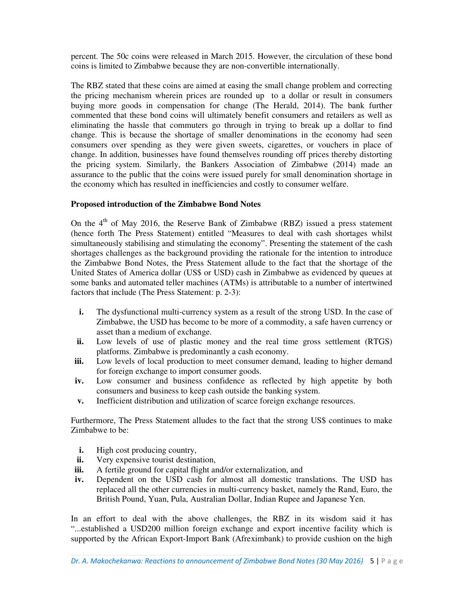percent. The 50c coins were released in March 2015. However, the circulation of these bond coins is limited to Zimbabwe because they are non-convertible internationally.

The RBZ stated that these coins are aimed at easing the small change problem and correcting the pricing mechanism wherein prices are rounded up to a dollar or result in consumers buying more goods in compensation for change (The Herald, 2014). The bank further commented that these bond coins will ultimately benefit consumers and retailers as well as eliminating the hassle that commuters go through in trying to break up a dollar to find change. This is because the shortage of smaller denominations in the economy had seen consumers over spending as they were given sweets, cigarettes, or vouchers in place of change. In addition, businesses have found themselves rounding off prices thereby distorting the pricing system. Similarly, the Bankers Association of Zimbabwe (2014) made an assurance to the public that the coins were issued purely for small denomination shortage in the economy which has resulted in inefficiencies and costly to consumer welfare.

# **Proposed introduction of the Zimbabwe Bond Notes**

On the  $4<sup>th</sup>$  of May 2016, the Reserve Bank of Zimbabwe (RBZ) issued a press statement (hence forth The Press Statement) entitled "Measures to deal with cash shortages whilst simultaneously stabilising and stimulating the economy". Presenting the statement of the cash shortages challenges as the background providing the rationale for the intention to introduce the Zimbabwe Bond Notes, the Press Statement allude to the fact that the shortage of the United States of America dollar (US\$ or USD) cash in Zimbabwe as evidenced by queues at some banks and automated teller machines (ATMs) is attributable to a number of intertwined factors that include (The Press Statement: p. 2-3):

- **i.** The dysfunctional multi-currency system as a result of the strong USD. In the case of Zimbabwe, the USD has become to be more of a commodity, a safe haven currency or asset than a medium of exchange.
- **ii.** Low levels of use of plastic money and the real time gross settlement (RTGS) platforms. Zimbabwe is predominantly a cash economy.
- **iii.** Low levels of local production to meet consumer demand, leading to higher demand for foreign exchange to import consumer goods.
- **iv.** Low consumer and business confidence as reflected by high appetite by both consumers and business to keep cash outside the banking system.
- **v.** Inefficient distribution and utilization of scarce foreign exchange resources.

Furthermore, The Press Statement alludes to the fact that the strong US\$ continues to make Zimbabwe to be:

- **i.** High cost producing country,
- **ii.** Very expensive tourist destination,
- **iii.** A fertile ground for capital flight and/or externalization, and
- **iv.** Dependent on the USD cash for almost all domestic translations. The USD has replaced all the other currencies in multi-currency basket, namely the Rand, Euro, the British Pound, Yuan, Pula, Australian Dollar, Indian Rupee and Japanese Yen.

In an effort to deal with the above challenges, the RBZ in its wisdom said it has "...established a USD200 million foreign exchange and export incentive facility which is supported by the African Export-Import Bank (Afreximbank) to provide cushion on the high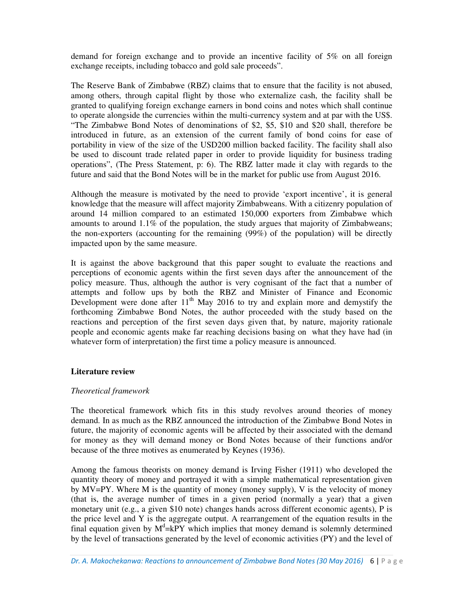demand for foreign exchange and to provide an incentive facility of 5% on all foreign exchange receipts, including tobacco and gold sale proceeds".

The Reserve Bank of Zimbabwe (RBZ) claims that to ensure that the facility is not abused, among others, through capital flight by those who externalize cash, the facility shall be granted to qualifying foreign exchange earners in bond coins and notes which shall continue to operate alongside the currencies within the multi-currency system and at par with the US\$. "The Zimbabwe Bond Notes of denominations of \$2, \$5, \$10 and \$20 shall, therefore be introduced in future, as an extension of the current family of bond coins for ease of portability in view of the size of the USD200 million backed facility. The facility shall also be used to discount trade related paper in order to provide liquidity for business trading operations", (The Press Statement, p: 6). The RBZ latter made it clay with regards to the future and said that the Bond Notes will be in the market for public use from August 2016.

Although the measure is motivated by the need to provide 'export incentive', it is general knowledge that the measure will affect majority Zimbabweans. With a citizenry population of around 14 million compared to an estimated 150,000 exporters from Zimbabwe which amounts to around 1.1% of the population, the study argues that majority of Zimbabweans; the non-exporters (accounting for the remaining (99%) of the population) will be directly impacted upon by the same measure.

It is against the above background that this paper sought to evaluate the reactions and perceptions of economic agents within the first seven days after the announcement of the policy measure. Thus, although the author is very cognisant of the fact that a number of attempts and follow ups by both the RBZ and Minister of Finance and Economic Development were done after  $11<sup>th</sup>$  May 2016 to try and explain more and demystify the forthcoming Zimbabwe Bond Notes, the author proceeded with the study based on the reactions and perception of the first seven days given that, by nature, majority rationale people and economic agents make far reaching decisions basing on what they have had (in whatever form of interpretation) the first time a policy measure is announced.

#### **Literature review**

#### *Theoretical framework*

The theoretical framework which fits in this study revolves around theories of money demand. In as much as the RBZ announced the introduction of the Zimbabwe Bond Notes in future, the majority of economic agents will be affected by their associated with the demand for money as they will demand money or Bond Notes because of their functions and/or because of the three motives as enumerated by Keynes (1936).

Among the famous theorists on money demand is Irving Fisher (1911) who developed the quantity theory of money and portrayed it with a simple mathematical representation given by MV=PY. Where M is the quantity of money (money supply), V is the velocity of money (that is, the average number of times in a given period (normally a year) that a given monetary unit (e.g., a given \$10 note) changes hands across different economic agents), P is the price level and Y is the aggregate output. A rearrangement of the equation results in the final equation given by  $M^d$ =kPY which implies that money demand is solemnly determined by the level of transactions generated by the level of economic activities (PY) and the level of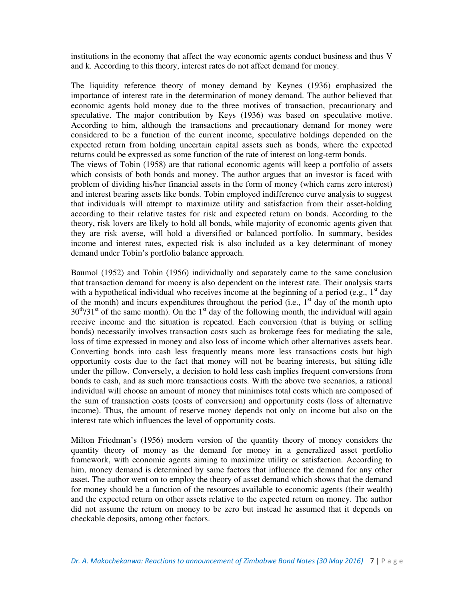institutions in the economy that affect the way economic agents conduct business and thus V and k. According to this theory, interest rates do not affect demand for money.

The liquidity reference theory of money demand by Keynes (1936) emphasized the importance of interest rate in the determination of money demand. The author believed that economic agents hold money due to the three motives of transaction, precautionary and speculative. The major contribution by Keys (1936) was based on speculative motive. According to him, although the transactions and precautionary demand for money were considered to be a function of the current income, speculative holdings depended on the expected return from holding uncertain capital assets such as bonds, where the expected returns could be expressed as some function of the rate of interest on long-term bonds. The views of Tobin (1958) are that rational economic agents will keep a portfolio of assets which consists of both bonds and money. The author argues that an investor is faced with problem of dividing his/her financial assets in the form of money (which earns zero interest) and interest bearing assets like bonds. Tobin employed indifference curve analysis to suggest that individuals will attempt to maximize utility and satisfaction from their asset-holding according to their relative tastes for risk and expected return on bonds. According to the theory, risk lovers are likely to hold all bonds, while majority of economic agents given that they are risk averse, will hold a diversified or balanced portfolio. In summary, besides income and interest rates, expected risk is also included as a key determinant of money demand under Tobin's portfolio balance approach.

Baumol (1952) and Tobin (1956) individually and separately came to the same conclusion that transaction demand for moeny is also dependent on the interest rate. Their analysis starts with a hypothetical individual who receives income at the beginning of a period (e.g.,  $1<sup>st</sup>$  day of the month) and incurs expenditures throughout the period (i.e.,  $1<sup>st</sup>$  day of the month upto  $30<sup>th</sup>/31<sup>st</sup>$  of the same month). On the 1<sup>st</sup> day of the following month, the individual will again receive income and the situation is repeated. Each conversion (that is buying or selling bonds) necessarily involves transaction costs such as brokerage fees for mediating the sale, loss of time expressed in money and also loss of income which other alternatives assets bear. Converting bonds into cash less frequently means more less transactions costs but high opportunity costs due to the fact that money will not be bearing interests, but sitting idle under the pillow. Conversely, a decision to hold less cash implies frequent conversions from bonds to cash, and as such more transactions costs. With the above two scenarios, a rational individual will choose an amount of money that minimises total costs which are composed of the sum of transaction costs (costs of conversion) and opportunity costs (loss of alternative income). Thus, the amount of reserve money depends not only on income but also on the interest rate which influences the level of opportunity costs.

Milton Friedman's (1956) modern version of the quantity theory of money considers the quantity theory of money as the demand for money in a generalized asset portfolio framework, with economic agents aiming to maximize utility or satisfaction. According to him, money demand is determined by same factors that influence the demand for any other asset. The author went on to employ the theory of asset demand which shows that the demand for money should be a function of the resources available to economic agents (their wealth) and the expected return on other assets relative to the expected return on money. The author did not assume the return on money to be zero but instead he assumed that it depends on checkable deposits, among other factors.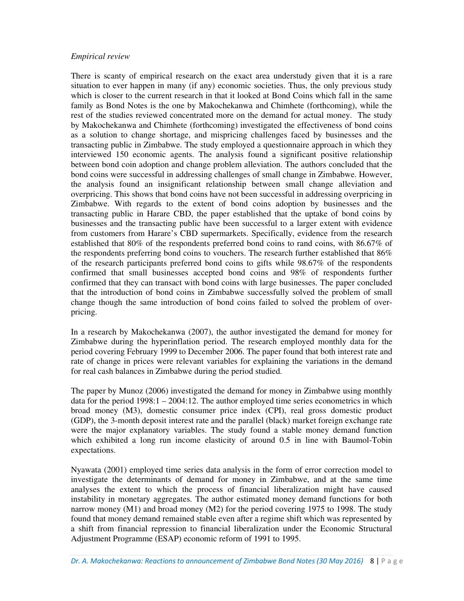#### *Empirical review*

There is scanty of empirical research on the exact area understudy given that it is a rare situation to ever happen in many (if any) economic societies. Thus, the only previous study which is closer to the current research in that it looked at Bond Coins which fall in the same family as Bond Notes is the one by Makochekanwa and Chimhete (forthcoming), while the rest of the studies reviewed concentrated more on the demand for actual money. The study by Makochekanwa and Chimhete (forthcoming) investigated the effectiveness of bond coins as a solution to change shortage, and mispricing challenges faced by businesses and the transacting public in Zimbabwe. The study employed a questionnaire approach in which they interviewed 150 economic agents. The analysis found a significant positive relationship between bond coin adoption and change problem alleviation. The authors concluded that the bond coins were successful in addressing challenges of small change in Zimbabwe. However, the analysis found an insignificant relationship between small change alleviation and overpricing. This shows that bond coins have not been successful in addressing overpricing in Zimbabwe. With regards to the extent of bond coins adoption by businesses and the transacting public in Harare CBD, the paper established that the uptake of bond coins by businesses and the transacting public have been successful to a larger extent with evidence from customers from Harare's CBD supermarkets. Specifically, evidence from the research established that 80% of the respondents preferred bond coins to rand coins, with 86.67% of the respondents preferring bond coins to vouchers. The research further established that 86% of the research participants preferred bond coins to gifts while 98.67% of the respondents confirmed that small businesses accepted bond coins and 98% of respondents further confirmed that they can transact with bond coins with large businesses. The paper concluded that the introduction of bond coins in Zimbabwe successfully solved the problem of small change though the same introduction of bond coins failed to solved the problem of overpricing.

In a research by Makochekanwa (2007), the author investigated the demand for money for Zimbabwe during the hyperinflation period. The research employed monthly data for the period covering February 1999 to December 2006. The paper found that both interest rate and rate of change in prices were relevant variables for explaining the variations in the demand for real cash balances in Zimbabwe during the period studied.

The paper by Munoz (2006) investigated the demand for money in Zimbabwe using monthly data for the period 1998:1 – 2004:12. The author employed time series econometrics in which broad money (M3), domestic consumer price index (CPI), real gross domestic product (GDP), the 3-month deposit interest rate and the parallel (black) market foreign exchange rate were the major explanatory variables. The study found a stable money demand function which exhibited a long run income elasticity of around 0.5 in line with Baumol-Tobin expectations.

Nyawata (2001) employed time series data analysis in the form of error correction model to investigate the determinants of demand for money in Zimbabwe, and at the same time analyses the extent to which the process of financial liberalization might have caused instability in monetary aggregates. The author estimated money demand functions for both narrow money (M1) and broad money (M2) for the period covering 1975 to 1998. The study found that money demand remained stable even after a regime shift which was represented by a shift from financial repression to financial liberalization under the Economic Structural Adjustment Programme (ESAP) economic reform of 1991 to 1995.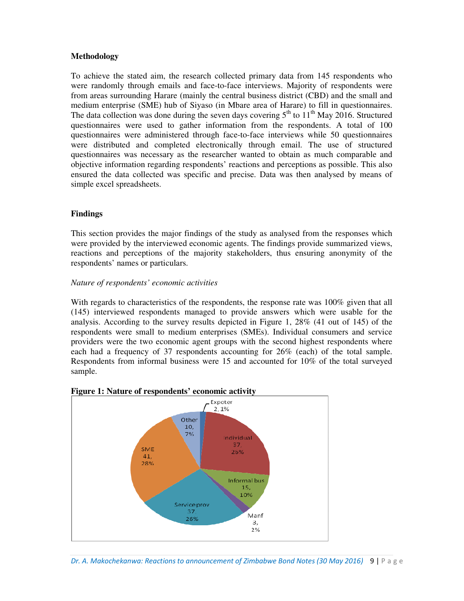# **Methodology**

To achieve the stated aim, the research collected primary data from 145 respondents who were randomly through emails and face-to-face interviews. Majority of respondents were from areas surrounding Harare (mainly the central business district (CBD) and the small and medium enterprise (SME) hub of Siyaso (in Mbare area of Harare) to fill in questionnaires. The data collection was done during the seven days covering  $5<sup>th</sup>$  to  $11<sup>th</sup>$  May 2016. Structured questionnaires were used to gather information from the respondents. A total of 100 questionnaires were administered through face-to-face interviews while 50 questionnaires were distributed and completed electronically through email. The use of structured questionnaires was necessary as the researcher wanted to obtain as much comparable and objective information regarding respondents' reactions and perceptions as possible. This also ensured the data collected was specific and precise. Data was then analysed by means of simple excel spreadsheets.

## **Findings**

This section provides the major findings of the study as analysed from the responses which were provided by the interviewed economic agents. The findings provide summarized views, reactions and perceptions of the majority stakeholders, thus ensuring anonymity of the respondents' names or particulars.

#### *Nature of respondents' economic activities*

With regards to characteristics of the respondents, the response rate was 100% given that all (145) interviewed respondents managed to provide answers which were usable for the analysis. According to the survey results depicted in Figure 1, 28% (41 out of 145) of the respondents were small to medium enterprises (SMEs). Individual consumers and service providers were the two economic agent groups with the second highest respondents where each had a frequency of 37 respondents accounting for 26% (each) of the total sample. Respondents from informal business were 15 and accounted for 10% of the total surveyed sample.



#### **Figure 1: Nature of respondents' economic activity**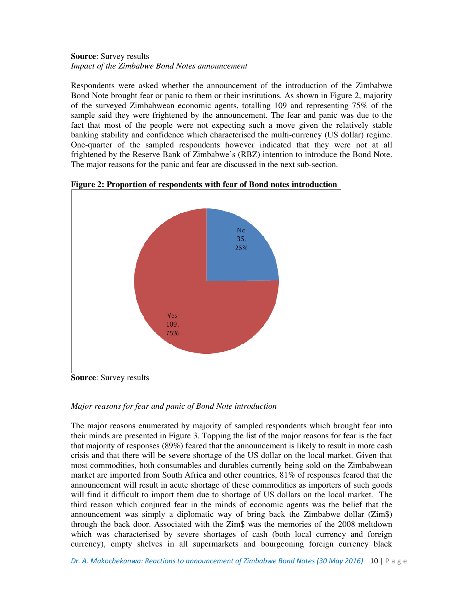# **Source**: Survey results *Impact of the Zimbabwe Bond Notes announcement*

Respondents were asked whether the announcement of the introduction of the Zimbabwe Bond Note brought fear or panic to them or their institutions. As shown in Figure 2, majority of the surveyed Zimbabwean economic agents, totalling 109 and representing 75% of the sample said they were frightened by the announcement. The fear and panic was due to the fact that most of the people were not expecting such a move given the relatively stable banking stability and confidence which characterised the multi-currency (US dollar) regime. One-quarter of the sampled respondents however indicated that they were not at all frightened by the Reserve Bank of Zimbabwe's (RBZ) intention to introduce the Bond Note. The major reasons for the panic and fear are discussed in the next sub-section.



**Figure 2: Proportion of respondents with fear of Bond notes introduction** 

*Major reasons for fear and panic of Bond Note introduction* 

The major reasons enumerated by majority of sampled respondents which brought fear into their minds are presented in Figure 3. Topping the list of the major reasons for fear is the fact that majority of responses (89%) feared that the announcement is likely to result in more cash crisis and that there will be severe shortage of the US dollar on the local market. Given that most commodities, both consumables and durables currently being sold on the Zimbabwean market are imported from South Africa and other countries, 81% of responses feared that the announcement will result in acute shortage of these commodities as importers of such goods will find it difficult to import them due to shortage of US dollars on the local market. The third reason which conjured fear in the minds of economic agents was the belief that the announcement was simply a diplomatic way of bring back the Zimbabwe dollar (Zim\$) through the back door. Associated with the Zim\$ was the memories of the 2008 meltdown which was characterised by severe shortages of cash (both local currency and foreign currency), empty shelves in all supermarkets and bourgeoning foreign currency black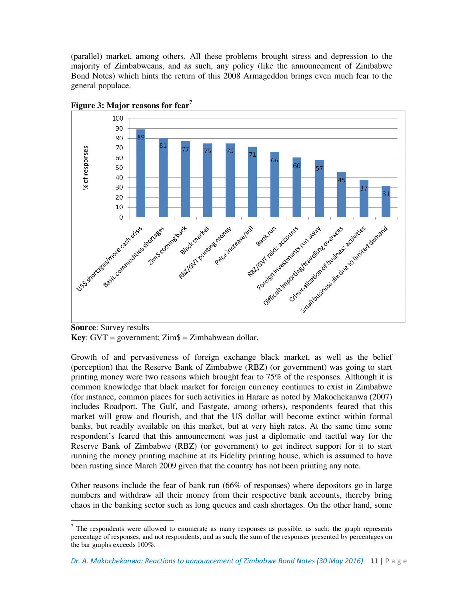(parallel) market, among others. All these problems brought stress and depression to the majority of Zimbabweans, and as such, any policy (like the announcement of Zimbabwe Bond Notes) which hints the return of this 2008 Armageddon brings even much fear to the general populace.



**Figure 3: Major reasons for fear<sup>7</sup>**

 $\overline{a}$ 

Growth of and pervasiveness of foreign exchange black market, as well as the belief (perception) that the Reserve Bank of Zimbabwe (RBZ) (or government) was going to start printing money were two reasons which brought fear to 75% of the responses. Although it is common knowledge that black market for foreign currency continues to exist in Zimbabwe (for instance, common places for such activities in Harare as noted by Makochekanwa (2007) includes Roadport, The Gulf, and Eastgate, among others), respondents feared that this market will grow and flourish, and that the US dollar will become extinct within formal banks, but readily available on this market, but at very high rates. At the same time some respondent's feared that this announcement was just a diplomatic and tactful way for the Reserve Bank of Zimbabwe (RBZ) (or government) to get indirect support for it to start running the money printing machine at its Fidelity printing house, which is assumed to have been rusting since March 2009 given that the country has not been printing any note.

Other reasons include the fear of bank run (66% of responses) where depositors go in large numbers and withdraw all their money from their respective bank accounts, thereby bring chaos in the banking sector such as long queues and cash shortages. On the other hand, some

**Source**: Survey results **Key**: GVT = government; Zim\$ = Zimbabwean dollar.

 $<sup>7</sup>$  The respondents were allowed to enumerate as many responses as possible, as such; the graph represents</sup> percentage of responses, and not respondents, and as such, the sum of the responses presented by percentages on the bar graphs exceeds 100%.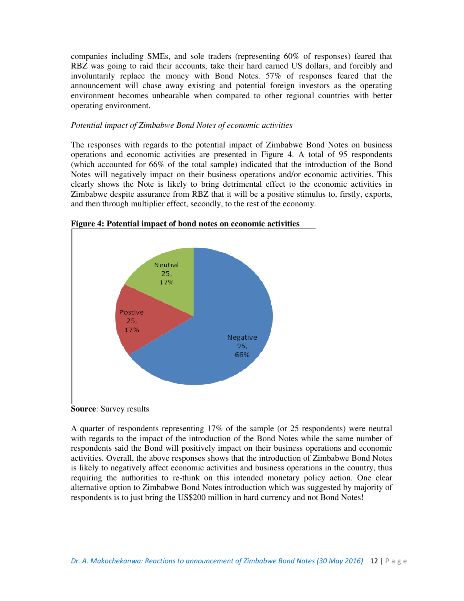companies including SMEs, and sole traders (representing 60% of responses) feared that RBZ was going to raid their accounts, take their hard earned US dollars, and forcibly and involuntarily replace the money with Bond Notes. 57% of responses feared that the announcement will chase away existing and potential foreign investors as the operating environment becomes unbearable when compared to other regional countries with better operating environment.

#### *Potential impact of Zimbabwe Bond Notes of economic activities*

The responses with regards to the potential impact of Zimbabwe Bond Notes on business operations and economic activities are presented in Figure 4. A total of 95 respondents (which accounted for 66% of the total sample) indicated that the introduction of the Bond Notes will negatively impact on their business operations and/or economic activities. This clearly shows the Note is likely to bring detrimental effect to the economic activities in Zimbabwe despite assurance from RBZ that it will be a positive stimulus to, firstly, exports, and then through multiplier effect, secondly, to the rest of the economy.



**Figure 4: Potential impact of bond notes on economic activities** 

**Source**: Survey results

A quarter of respondents representing 17% of the sample (or 25 respondents) were neutral with regards to the impact of the introduction of the Bond Notes while the same number of respondents said the Bond will positively impact on their business operations and economic activities. Overall, the above responses shows that the introduction of Zimbabwe Bond Notes is likely to negatively affect economic activities and business operations in the country, thus requiring the authorities to re-think on this intended monetary policy action. One clear alternative option to Zimbabwe Bond Notes introduction which was suggested by majority of respondents is to just bring the US\$200 million in hard currency and not Bond Notes!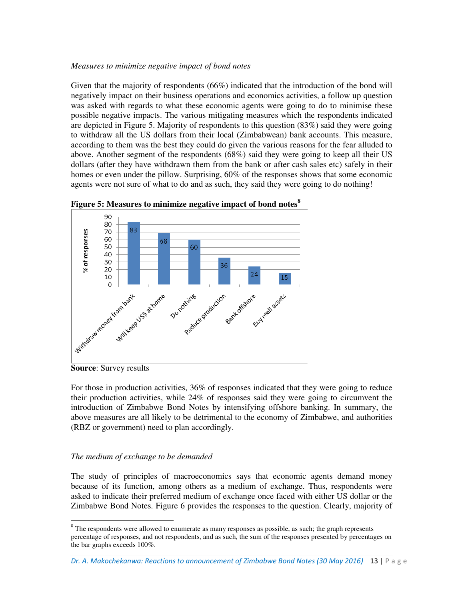#### *Measures to minimize negative impact of bond notes*

Given that the majority of respondents (66%) indicated that the introduction of the bond will negatively impact on their business operations and economics activities, a follow up question was asked with regards to what these economic agents were going to do to minimise these possible negative impacts. The various mitigating measures which the respondents indicated are depicted in Figure 5. Majority of respondents to this question (83%) said they were going to withdraw all the US dollars from their local (Zimbabwean) bank accounts. This measure, according to them was the best they could do given the various reasons for the fear alluded to above. Another segment of the respondents (68%) said they were going to keep all their US dollars (after they have withdrawn them from the bank or after cash sales etc) safely in their homes or even under the pillow. Surprising, 60% of the responses shows that some economic agents were not sure of what to do and as such, they said they were going to do nothing!





 $\overline{a}$ 

For those in production activities, 36% of responses indicated that they were going to reduce their production activities, while 24% of responses said they were going to circumvent the introduction of Zimbabwe Bond Notes by intensifying offshore banking. In summary, the above measures are all likely to be detrimental to the economy of Zimbabwe, and authorities (RBZ or government) need to plan accordingly.

#### *The medium of exchange to be demanded*

The study of principles of macroeconomics says that economic agents demand money because of its function, among others as a medium of exchange. Thus, respondents were asked to indicate their preferred medium of exchange once faced with either US dollar or the Zimbabwe Bond Notes. Figure 6 provides the responses to the question. Clearly, majority of

*Dr. A. Makochekanwa: Reactions to announcement of Zimbabwe Bond Notes (30 May 2016)* 13 | P a g e

**Source**: Survey results

 $8$  The respondents were allowed to enumerate as many responses as possible, as such; the graph represents percentage of responses, and not respondents, and as such, the sum of the responses presented by percentages on the bar graphs exceeds 100%.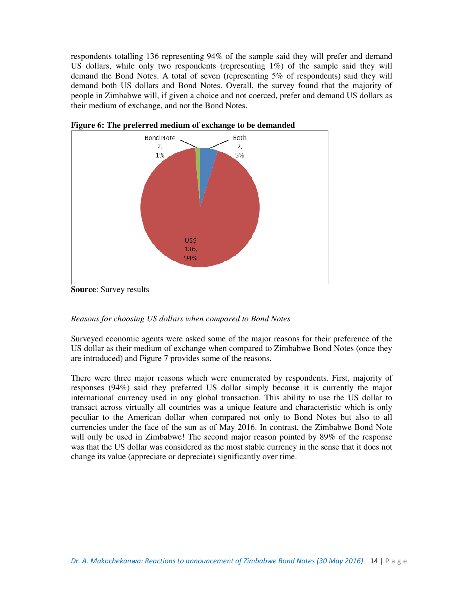respondents totalling 136 representing 94% of the sample said they will prefer and demand US dollars, while only two respondents (representing 1%) of the sample said they will demand the Bond Notes. A total of seven (representing 5% of respondents) said they will demand both US dollars and Bond Notes. Overall, the survey found that the majority of people in Zimbabwe will, if given a choice and not coerced, prefer and demand US dollars as their medium of exchange, and not the Bond Notes.



**Figure 6: The preferred medium of exchange to be demanded** 

#### *Reasons for choosing US dollars when compared to Bond Notes*

Surveyed economic agents were asked some of the major reasons for their preference of the US dollar as their medium of exchange when compared to Zimbabwe Bond Notes (once they are introduced) and Figure 7 provides some of the reasons.

There were three major reasons which were enumerated by respondents. First, majority of responses (94%) said they preferred US dollar simply because it is currently the major international currency used in any global transaction. This ability to use the US dollar to transact across virtually all countries was a unique feature and characteristic which is only peculiar to the American dollar when compared not only to Bond Notes but also to all currencies under the face of the sun as of May 2016. In contrast, the Zimbabwe Bond Note will only be used in Zimbabwe! The second major reason pointed by 89% of the response was that the US dollar was considered as the most stable currency in the sense that it does not change its value (appreciate or depreciate) significantly over time.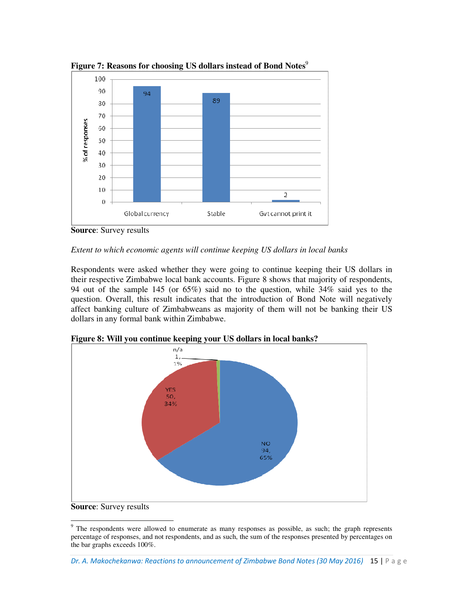

**Figure 7: Reasons for choosing US dollars instead of Bond Notes**<sup>9</sup>

Respondents were asked whether they were going to continue keeping their US dollars in their respective Zimbabwe local bank accounts. Figure 8 shows that majority of respondents, 94 out of the sample 145 (or 65%) said no to the question, while 34% said yes to the question. Overall, this result indicates that the introduction of Bond Note will negatively affect banking culture of Zimbabweans as majority of them will not be banking their US dollars in any formal bank within Zimbabwe.



**Figure 8: Will you continue keeping your US dollars in local banks?** 

**Source**: Survey results

*Extent to which economic agents will continue keeping US dollars in local banks* 

 $\overline{a}$ <sup>9</sup> The respondents were allowed to enumerate as many responses as possible, as such; the graph represents percentage of responses, and not respondents, and as such, the sum of the responses presented by percentages on the bar graphs exceeds 100%.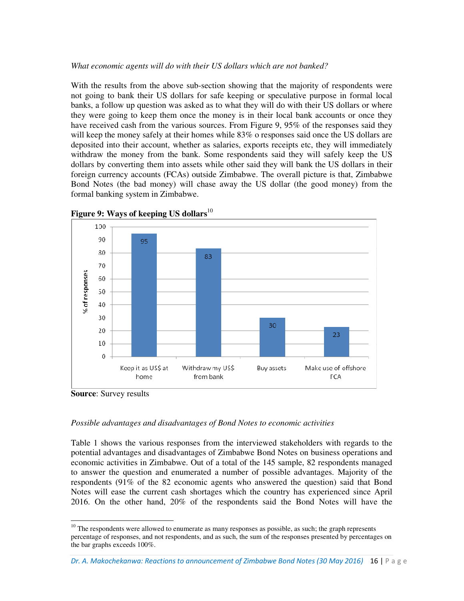#### *What economic agents will do with their US dollars which are not banked?*

With the results from the above sub-section showing that the majority of respondents were not going to bank their US dollars for safe keeping or speculative purpose in formal local banks, a follow up question was asked as to what they will do with their US dollars or where they were going to keep them once the money is in their local bank accounts or once they have received cash from the various sources. From Figure 9, 95% of the responses said they will keep the money safely at their homes while 83% o responses said once the US dollars are deposited into their account, whether as salaries, exports receipts etc, they will immediately withdraw the money from the bank. Some respondents said they will safely keep the US dollars by converting them into assets while other said they will bank the US dollars in their foreign currency accounts (FCAs) outside Zimbabwe. The overall picture is that, Zimbabwe Bond Notes (the bad money) will chase away the US dollar (the good money) from the formal banking system in Zimbabwe.





**Source**: Survey results

 $\overline{a}$ 

#### *Possible advantages and disadvantages of Bond Notes to economic activities*

Table 1 shows the various responses from the interviewed stakeholders with regards to the potential advantages and disadvantages of Zimbabwe Bond Notes on business operations and economic activities in Zimbabwe. Out of a total of the 145 sample, 82 respondents managed to answer the question and enumerated a number of possible advantages. Majority of the respondents (91% of the 82 economic agents who answered the question) said that Bond Notes will ease the current cash shortages which the country has experienced since April 2016. On the other hand, 20% of the respondents said the Bond Notes will have the

 $10$  The respondents were allowed to enumerate as many responses as possible, as such; the graph represents percentage of responses, and not respondents, and as such, the sum of the responses presented by percentages on the bar graphs exceeds 100%.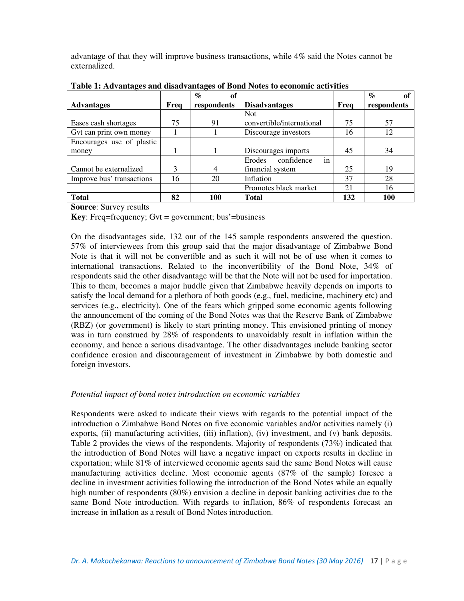advantage of that they will improve business transactions, while 4% said the Notes cannot be externalized.

|                           |      | $\mathcal{O}_{\mathcal{O}}$<br>of |                                   |      | $\mathcal{O}'$ |
|---------------------------|------|-----------------------------------|-----------------------------------|------|----------------|
| <b>Advantages</b>         | Freq | respondents                       | <b>Disadvantages</b>              | Freq | respondents    |
|                           |      |                                   | <b>Not</b>                        |      |                |
| Eases cash shortages      | 75   | 91                                | convertible/international         | 75   | 57             |
| Gvt can print own money   |      |                                   | Discourage investors              | 16   | 12             |
| Encourages use of plastic |      |                                   |                                   |      |                |
| money                     |      |                                   | Discourages imports               | 45   | 34             |
|                           |      |                                   | confidence<br><b>Erodes</b><br>in |      |                |
| Cannot be externalized    | 3    | $\overline{4}$                    | financial system                  | 25   | 19             |
| Improve bus' transactions | 16   | 20                                | Inflation                         | 37   | 28             |
|                           |      |                                   | Promotes black market             | 21   | 16             |
| <b>Total</b>              | 82   | 100                               | <b>Total</b>                      | 132  | 100            |

**Table 1: Advantages and disadvantages of Bond Notes to economic activities** 

**Source**: Survey results

**Key**: Freq=frequency; Gvt = government; bus'=business

On the disadvantages side, 132 out of the 145 sample respondents answered the question. 57% of interviewees from this group said that the major disadvantage of Zimbabwe Bond Note is that it will not be convertible and as such it will not be of use when it comes to international transactions. Related to the inconvertibility of the Bond Note, 34% of respondents said the other disadvantage will be that the Note will not be used for importation. This to them, becomes a major huddle given that Zimbabwe heavily depends on imports to satisfy the local demand for a plethora of both goods (e.g., fuel, medicine, machinery etc) and services (e.g., electricity). One of the fears which gripped some economic agents following the announcement of the coming of the Bond Notes was that the Reserve Bank of Zimbabwe (RBZ) (or government) is likely to start printing money. This envisioned printing of money was in turn construed by 28% of respondents to unavoidably result in inflation within the economy, and hence a serious disadvantage. The other disadvantages include banking sector confidence erosion and discouragement of investment in Zimbabwe by both domestic and foreign investors.

# *Potential impact of bond notes introduction on economic variables*

Respondents were asked to indicate their views with regards to the potential impact of the introduction o Zimbabwe Bond Notes on five economic variables and/or activities namely (i) exports, (ii) manufacturing activities, (iii) inflation), (iv) investment, and (v) bank deposits. Table 2 provides the views of the respondents. Majority of respondents (73%) indicated that the introduction of Bond Notes will have a negative impact on exports results in decline in exportation; while 81% of interviewed economic agents said the same Bond Notes will cause manufacturing activities decline. Most economic agents (87% of the sample) foresee a decline in investment activities following the introduction of the Bond Notes while an equally high number of respondents (80%) envision a decline in deposit banking activities due to the same Bond Note introduction. With regards to inflation, 86% of respondents forecast an increase in inflation as a result of Bond Notes introduction.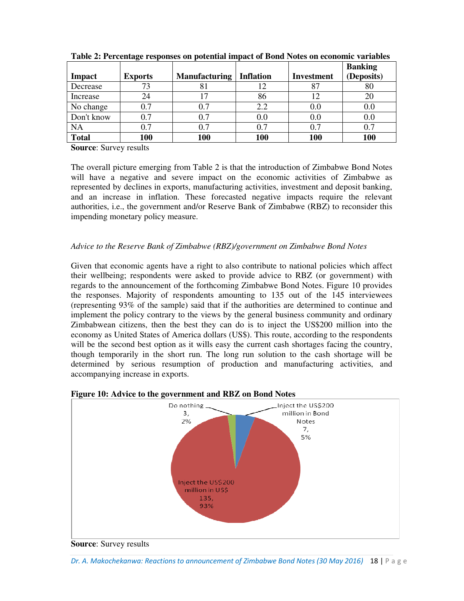|              |                |                      |                  |                   | <b>Banking</b> |
|--------------|----------------|----------------------|------------------|-------------------|----------------|
| Impact       | <b>Exports</b> | <b>Manufacturing</b> | <b>Inflation</b> | <b>Investment</b> | (Deposits)     |
| Decrease     | 73             | 81                   | 12               | 87                | 80             |
| Increase     | 24             |                      | 86               | 12                | 20             |
| No change    | 0.7            | 0.7                  | 2.2              | 0.0               | 0.0            |
| Don't know   | 0.7            | 0.7                  | 0.0              | 0.0               | $0.0\,$        |
| <b>NA</b>    | 0.7            | 0.7                  | 0.7              | 0.7               | 0.7            |
| <b>Total</b> | 100            | 100                  | 100              | 100               | 100            |

**Table 2: Percentage responses on potential impact of Bond Notes on economic variables** 

**Source**: Survey results

The overall picture emerging from Table 2 is that the introduction of Zimbabwe Bond Notes will have a negative and severe impact on the economic activities of Zimbabwe as represented by declines in exports, manufacturing activities, investment and deposit banking, and an increase in inflation. These forecasted negative impacts require the relevant authorities, i.e., the government and/or Reserve Bank of Zimbabwe (RBZ) to reconsider this impending monetary policy measure.

# *Advice to the Reserve Bank of Zimbabwe (RBZ)/government on Zimbabwe Bond Notes*

Given that economic agents have a right to also contribute to national policies which affect their wellbeing; respondents were asked to provide advice to RBZ (or government) with regards to the announcement of the forthcoming Zimbabwe Bond Notes. Figure 10 provides the responses. Majority of respondents amounting to 135 out of the 145 interviewees (representing 93% of the sample) said that if the authorities are determined to continue and implement the policy contrary to the views by the general business community and ordinary Zimbabwean citizens, then the best they can do is to inject the US\$200 million into the economy as United States of America dollars (US\$). This route, according to the respondents will be the second best option as it wills easy the current cash shortages facing the country, though temporarily in the short run. The long run solution to the cash shortage will be determined by serious resumption of production and manufacturing activities, and accompanying increase in exports.





#### **Source**: Survey results

*Dr. A. Makochekanwa: Reactions to announcement of Zimbabwe Bond Notes (30 May 2016)* 18 | P a g e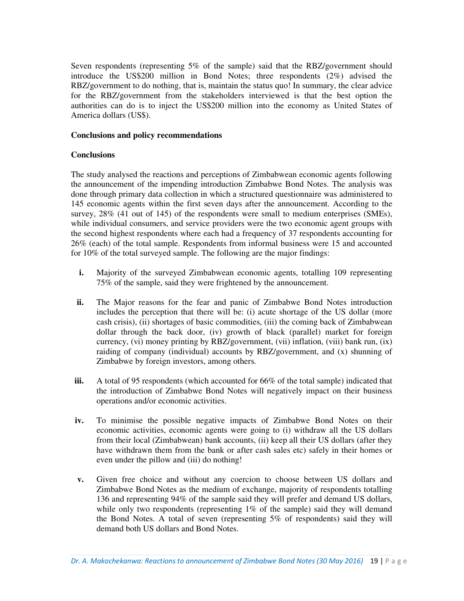Seven respondents (representing 5% of the sample) said that the RBZ/government should introduce the US\$200 million in Bond Notes; three respondents (2%) advised the RBZ/government to do nothing, that is, maintain the status quo! In summary, the clear advice for the RBZ/government from the stakeholders interviewed is that the best option the authorities can do is to inject the US\$200 million into the economy as United States of America dollars (US\$).

#### **Conclusions and policy recommendations**

## **Conclusions**

The study analysed the reactions and perceptions of Zimbabwean economic agents following the announcement of the impending introduction Zimbabwe Bond Notes. The analysis was done through primary data collection in which a structured questionnaire was administered to 145 economic agents within the first seven days after the announcement. According to the survey, 28% (41 out of 145) of the respondents were small to medium enterprises (SMEs), while individual consumers, and service providers were the two economic agent groups with the second highest respondents where each had a frequency of 37 respondents accounting for 26% (each) of the total sample. Respondents from informal business were 15 and accounted for 10% of the total surveyed sample. The following are the major findings:

- **i.** Majority of the surveyed Zimbabwean economic agents, totalling 109 representing 75% of the sample, said they were frightened by the announcement.
- **ii.** The Major reasons for the fear and panic of Zimbabwe Bond Notes introduction includes the perception that there will be: (i) acute shortage of the US dollar (more cash crisis), (ii) shortages of basic commodities, (iii) the coming back of Zimbabwean dollar through the back door, (iv) growth of black (parallel) market for foreign currency, (vi) money printing by RBZ/government, (vii) inflation, (viii) bank run, (ix) raiding of company (individual) accounts by RBZ/government, and (x) shunning of Zimbabwe by foreign investors, among others.
- **iii.** A total of 95 respondents (which accounted for 66% of the total sample) indicated that the introduction of Zimbabwe Bond Notes will negatively impact on their business operations and/or economic activities.
- **iv.** To minimise the possible negative impacts of Zimbabwe Bond Notes on their economic activities, economic agents were going to (i) withdraw all the US dollars from their local (Zimbabwean) bank accounts, (ii) keep all their US dollars (after they have withdrawn them from the bank or after cash sales etc) safely in their homes or even under the pillow and (iii) do nothing!
- **v.** Given free choice and without any coercion to choose between US dollars and Zimbabwe Bond Notes as the medium of exchange, majority of respondents totalling 136 and representing 94% of the sample said they will prefer and demand US dollars, while only two respondents (representing 1% of the sample) said they will demand the Bond Notes. A total of seven (representing 5% of respondents) said they will demand both US dollars and Bond Notes.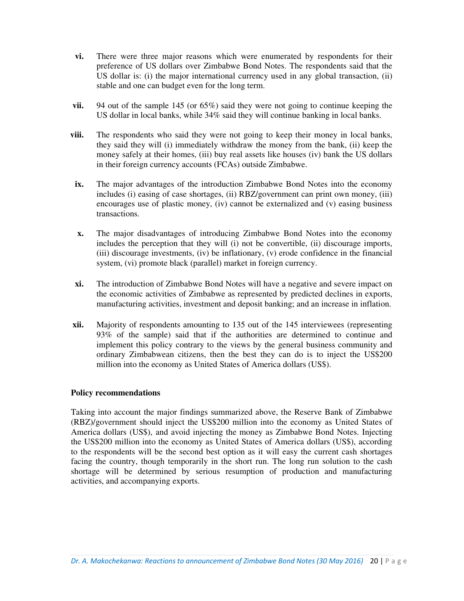- **vi.** There were three major reasons which were enumerated by respondents for their preference of US dollars over Zimbabwe Bond Notes. The respondents said that the US dollar is: (i) the major international currency used in any global transaction, (ii) stable and one can budget even for the long term.
- **vii.** 94 out of the sample 145 (or 65%) said they were not going to continue keeping the US dollar in local banks, while 34% said they will continue banking in local banks.
- **viii.** The respondents who said they were not going to keep their money in local banks, they said they will (i) immediately withdraw the money from the bank, (ii) keep the money safely at their homes, (iii) buy real assets like houses (iv) bank the US dollars in their foreign currency accounts (FCAs) outside Zimbabwe.
- **ix.** The major advantages of the introduction Zimbabwe Bond Notes into the economy includes (i) easing of case shortages, (ii) RBZ/government can print own money, (iii) encourages use of plastic money, (iv) cannot be externalized and (v) easing business transactions.
- **x.** The major disadvantages of introducing Zimbabwe Bond Notes into the economy includes the perception that they will (i) not be convertible, (ii) discourage imports, (iii) discourage investments, (iv) be inflationary, (v) erode confidence in the financial system, (vi) promote black (parallel) market in foreign currency.
- **xi.** The introduction of Zimbabwe Bond Notes will have a negative and severe impact on the economic activities of Zimbabwe as represented by predicted declines in exports, manufacturing activities, investment and deposit banking; and an increase in inflation.
- **xii.** Majority of respondents amounting to 135 out of the 145 interviewees (representing 93% of the sample) said that if the authorities are determined to continue and implement this policy contrary to the views by the general business community and ordinary Zimbabwean citizens, then the best they can do is to inject the US\$200 million into the economy as United States of America dollars (US\$).

#### **Policy recommendations**

Taking into account the major findings summarized above, the Reserve Bank of Zimbabwe (RBZ)/government should inject the US\$200 million into the economy as United States of America dollars (US\$), and avoid injecting the money as Zimbabwe Bond Notes. Injecting the US\$200 million into the economy as United States of America dollars (US\$), according to the respondents will be the second best option as it will easy the current cash shortages facing the country, though temporarily in the short run. The long run solution to the cash shortage will be determined by serious resumption of production and manufacturing activities, and accompanying exports.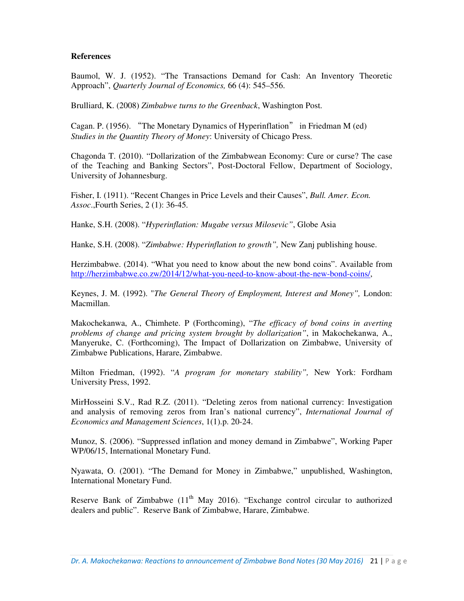## **References**

Baumol, W. J. (1952). "The Transactions Demand for Cash: An Inventory Theoretic Approach", *Quarterly Journal of Economics,* 66 (4): 545–556.

Brulliard, K. (2008) *Zimbabwe turns to the Greenback*, Washington Post.

Cagan. P. (1956). "The Monetary Dynamics of Hyperinflation" in Friedman M (ed) *Studies in the Quantity Theory of Money*: University of Chicago Press.

Chagonda T. (2010). "Dollarization of the Zimbabwean Economy: Cure or curse? The case of the Teaching and Banking Sectors", Post-Doctoral Fellow, Department of Sociology, University of Johannesburg.

Fisher, I. (1911). "Recent Changes in Price Levels and their Causes", *Bull. Amer. Econ. Assoc*.,Fourth Series, 2 (1): 36-45.

Hanke, S.H. (2008). "*Hyperinflation: Mugabe versus Milosevic"*, Globe Asia

Hanke, S.H. (2008). "*Zimbabwe: Hyperinflation to growth",* New Zanj publishing house.

Herzimbabwe. (2014). "What you need to know about the new bond coins". Available from http://herzimbabwe.co.zw/2014/12/what-you-need-to-know-about-the-new-bond-coins/,

Keynes, J. M. (1992). "*The General Theory of Employment, Interest and Money",* London: Macmillan.

Makochekanwa, A., Chimhete. P (Forthcoming), "*The efficacy of bond coins in averting problems of change and pricing system brought by dollarization"*, in Makochekanwa, A., Manyeruke, C. (Forthcoming), The Impact of Dollarization on Zimbabwe, University of Zimbabwe Publications, Harare, Zimbabwe.

Milton Friedman, (1992). "*A program for monetary stability",* New York: Fordham University Press, 1992.

MirHosseini S.V., Rad R.Z. (2011). "Deleting zeros from national currency: Investigation and analysis of removing zeros from Iran's national currency", *International Journal of Economics and Management Sciences*, 1(1).p. 20-24.

Munoz, S. (2006). "Suppressed inflation and money demand in Zimbabwe", Working Paper WP/06/15, International Monetary Fund.

Nyawata, O. (2001). "The Demand for Money in Zimbabwe," unpublished, Washington, International Monetary Fund.

Reserve Bank of Zimbabwe  $(11<sup>th</sup>$  May 2016). "Exchange control circular to authorized dealers and public". Reserve Bank of Zimbabwe, Harare, Zimbabwe.